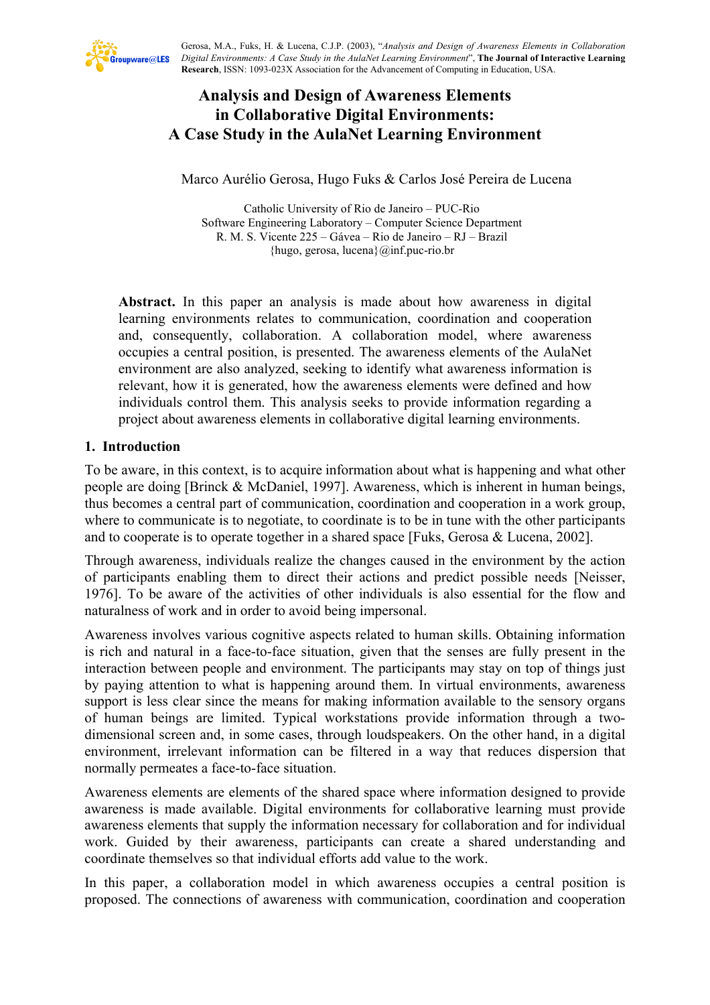

Gerosa, M.A., Fuks, H. & Lucena, C.J.P. (2003), "*Analysis and Design of Awareness Elements in Collaboration Digital Environments: A Case Study in the AulaNet Learning Environment*", **The Journal of Interactive Learning Research**, ISSN: 1093-023X Association for the Advancement of Computing in Education, USA.

# **Analysis and Design of Awareness Elements in Collaborative Digital Environments: A Case Study in the AulaNet Learning Environment**

Marco Aurélio Gerosa, Hugo Fuks & Carlos José Pereira de Lucena

Catholic University of Rio de Janeiro – PUC-Rio Software Engineering Laboratory – Computer Science Department R. M. S. Vicente 225 – Gávea – Rio de Janeiro – RJ – Brazil {hugo, gerosa, lucena}@inf.puc-rio.br

**Abstract.** In this paper an analysis is made about how awareness in digital learning environments relates to communication, coordination and cooperation and, consequently, collaboration. A collaboration model, where awareness occupies a central position, is presented. The awareness elements of the AulaNet environment are also analyzed, seeking to identify what awareness information is relevant, how it is generated, how the awareness elements were defined and how individuals control them. This analysis seeks to provide information regarding a project about awareness elements in collaborative digital learning environments.

## **1. Introduction**

To be aware, in this context, is to acquire information about what is happening and what other people are doing [Brinck & McDaniel, 1997]. Awareness, which is inherent in human beings, thus becomes a central part of communication, coordination and cooperation in a work group, where to communicate is to negotiate, to coordinate is to be in tune with the other participants and to cooperate is to operate together in a shared space [Fuks, Gerosa & Lucena, 2002].

Through awareness, individuals realize the changes caused in the environment by the action of participants enabling them to direct their actions and predict possible needs [Neisser, 1976]. To be aware of the activities of other individuals is also essential for the flow and naturalness of work and in order to avoid being impersonal.

Awareness involves various cognitive aspects related to human skills. Obtaining information is rich and natural in a face-to-face situation, given that the senses are fully present in the interaction between people and environment. The participants may stay on top of things just by paying attention to what is happening around them. In virtual environments, awareness support is less clear since the means for making information available to the sensory organs of human beings are limited. Typical workstations provide information through a twodimensional screen and, in some cases, through loudspeakers. On the other hand, in a digital environment, irrelevant information can be filtered in a way that reduces dispersion that normally permeates a face-to-face situation.

Awareness elements are elements of the shared space where information designed to provide awareness is made available. Digital environments for collaborative learning must provide awareness elements that supply the information necessary for collaboration and for individual work. Guided by their awareness, participants can create a shared understanding and coordinate themselves so that individual efforts add value to the work.

In this paper, a collaboration model in which awareness occupies a central position is proposed. The connections of awareness with communication, coordination and cooperation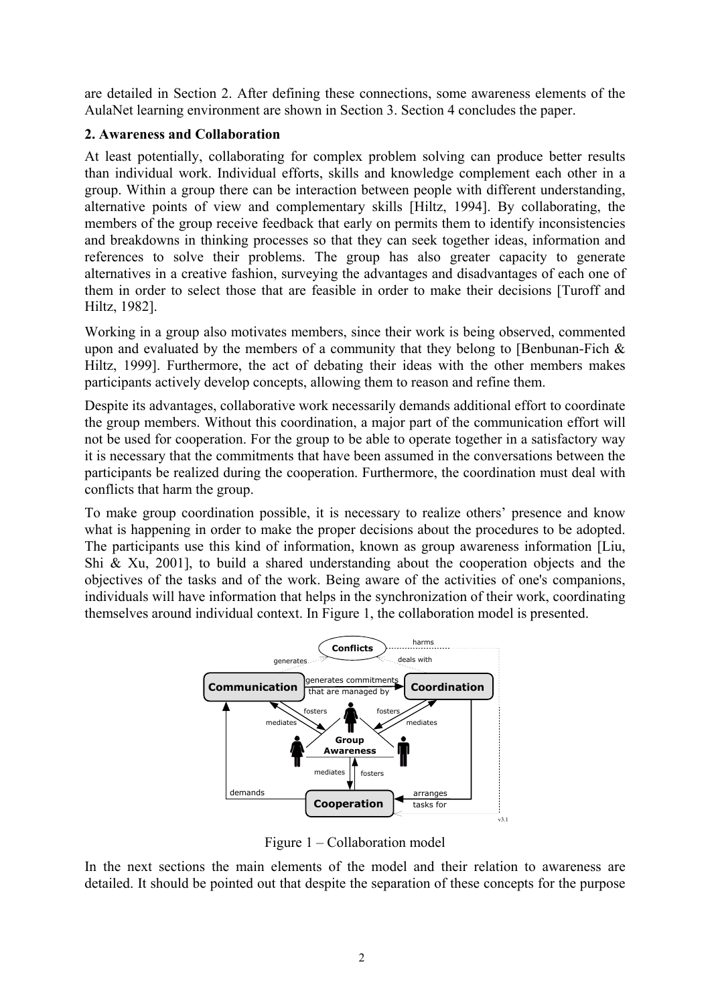are detailed in Section 2. After defining these connections, some awareness elements of the AulaNet learning environment are shown in Section 3. Section 4 concludes the paper.

### **2. Awareness and Collaboration**

At least potentially, collaborating for complex problem solving can produce better results than individual work. Individual efforts, skills and knowledge complement each other in a group. Within a group there can be interaction between people with different understanding, alternative points of view and complementary skills [Hiltz, 1994]. By collaborating, the members of the group receive feedback that early on permits them to identify inconsistencies and breakdowns in thinking processes so that they can seek together ideas, information and references to solve their problems. The group has also greater capacity to generate alternatives in a creative fashion, surveying the advantages and disadvantages of each one of them in order to select those that are feasible in order to make their decisions [Turoff and Hiltz, 1982].

Working in a group also motivates members, since their work is being observed, commented upon and evaluated by the members of a community that they belong to [Benbunan-Fich  $\&$ Hiltz, 1999]. Furthermore, the act of debating their ideas with the other members makes participants actively develop concepts, allowing them to reason and refine them.

Despite its advantages, collaborative work necessarily demands additional effort to coordinate the group members. Without this coordination, a major part of the communication effort will not be used for cooperation. For the group to be able to operate together in a satisfactory way it is necessary that the commitments that have been assumed in the conversations between the participants be realized during the cooperation. Furthermore, the coordination must deal with conflicts that harm the group.

To make group coordination possible, it is necessary to realize others' presence and know what is happening in order to make the proper decisions about the procedures to be adopted. The participants use this kind of information, known as group awareness information [Liu, Shi & Xu, 2001], to build a shared understanding about the cooperation objects and the objectives of the tasks and of the work. Being aware of the activities of one's companions, individuals will have information that helps in the synchronization of their work, coordinating themselves around individual context. In Figure 1, the collaboration model is presented.



Figure 1 – Collaboration model

In the next sections the main elements of the model and their relation to awareness are detailed. It should be pointed out that despite the separation of these concepts for the purpose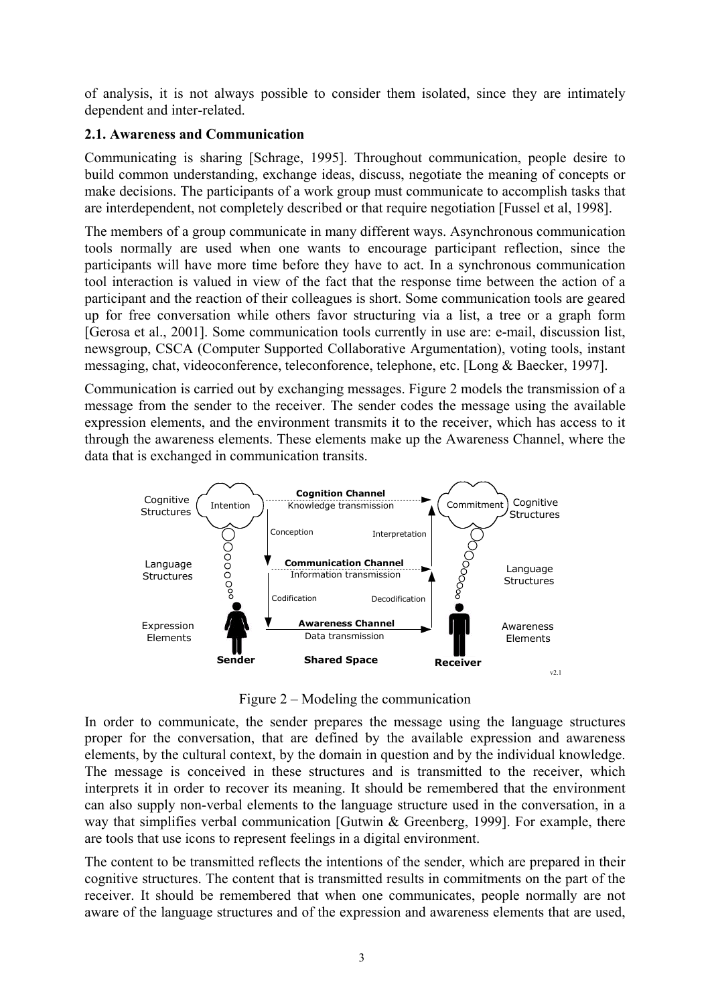of analysis, it is not always possible to consider them isolated, since they are intimately dependent and inter-related.

## **2.1. Awareness and Communication**

Communicating is sharing [Schrage, 1995]. Throughout communication, people desire to build common understanding, exchange ideas, discuss, negotiate the meaning of concepts or make decisions. The participants of a work group must communicate to accomplish tasks that are interdependent, not completely described or that require negotiation [Fussel et al, 1998].

The members of a group communicate in many different ways. Asynchronous communication tools normally are used when one wants to encourage participant reflection, since the participants will have more time before they have to act. In a synchronous communication tool interaction is valued in view of the fact that the response time between the action of a participant and the reaction of their colleagues is short. Some communication tools are geared up for free conversation while others favor structuring via a list, a tree or a graph form [Gerosa et al., 2001]. Some communication tools currently in use are: e-mail, discussion list, newsgroup, CSCA (Computer Supported Collaborative Argumentation), voting tools, instant messaging, chat, videoconference, teleconforence, telephone, etc. [Long & Baecker, 1997].

Communication is carried out by exchanging messages. Figure 2 models the transmission of a message from the sender to the receiver. The sender codes the message using the available expression elements, and the environment transmits it to the receiver, which has access to it through the awareness elements. These elements make up the Awareness Channel, where the data that is exchanged in communication transits.



Figure 2 – Modeling the communication

In order to communicate, the sender prepares the message using the language structures proper for the conversation, that are defined by the available expression and awareness elements, by the cultural context, by the domain in question and by the individual knowledge. The message is conceived in these structures and is transmitted to the receiver, which interprets it in order to recover its meaning. It should be remembered that the environment can also supply non-verbal elements to the language structure used in the conversation, in a way that simplifies verbal communication [Gutwin & Greenberg, 1999]. For example, there are tools that use icons to represent feelings in a digital environment.

The content to be transmitted reflects the intentions of the sender, which are prepared in their cognitive structures. The content that is transmitted results in commitments on the part of the receiver. It should be remembered that when one communicates, people normally are not aware of the language structures and of the expression and awareness elements that are used,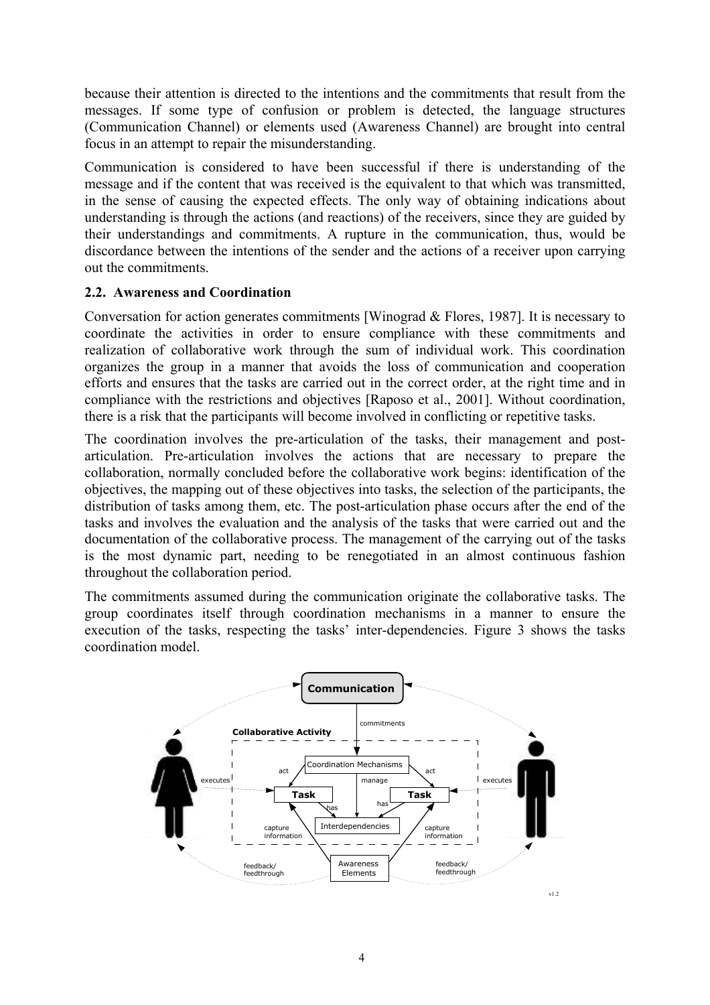because their attention is directed to the intentions and the commitments that result from the messages. If some type of confusion or problem is detected, the language structures (Communication Channel) or elements used (Awareness Channel) are brought into central focus in an attempt to repair the misunderstanding.

Communication is considered to have been successful if there is understanding of the message and if the content that was received is the equivalent to that which was transmitted, in the sense of causing the expected effects. The only way of obtaining indications about understanding is through the actions (and reactions) of the receivers, since they are guided by their understandings and commitments. A rupture in the communication, thus, would be discordance between the intentions of the sender and the actions of a receiver upon carrying out the commitments.

### **2.2. Awareness and Coordination**

Conversation for action generates commitments [Winograd & Flores, 1987]. It is necessary to coordinate the activities in order to ensure compliance with these commitments and realization of collaborative work through the sum of individual work. This coordination organizes the group in a manner that avoids the loss of communication and cooperation efforts and ensures that the tasks are carried out in the correct order, at the right time and in compliance with the restrictions and objectives [Raposo et al., 2001]. Without coordination, there is a risk that the participants will become involved in conflicting or repetitive tasks.

The coordination involves the pre-articulation of the tasks, their management and postarticulation. Pre-articulation involves the actions that are necessary to prepare the collaboration, normally concluded before the collaborative work begins: identification of the objectives, the mapping out of these objectives into tasks, the selection of the participants, the distribution of tasks among them, etc. The post-articulation phase occurs after the end of the tasks and involves the evaluation and the analysis of the tasks that were carried out and the documentation of the collaborative process. The management of the carrying out of the tasks is the most dynamic part, needing to be renegotiated in an almost continuous fashion throughout the collaboration period.

The commitments assumed during the communication originate the collaborative tasks. The group coordinates itself through coordination mechanisms in a manner to ensure the execution of the tasks, respecting the tasks' inter-dependencies. Figure 3 shows the tasks coordination model.

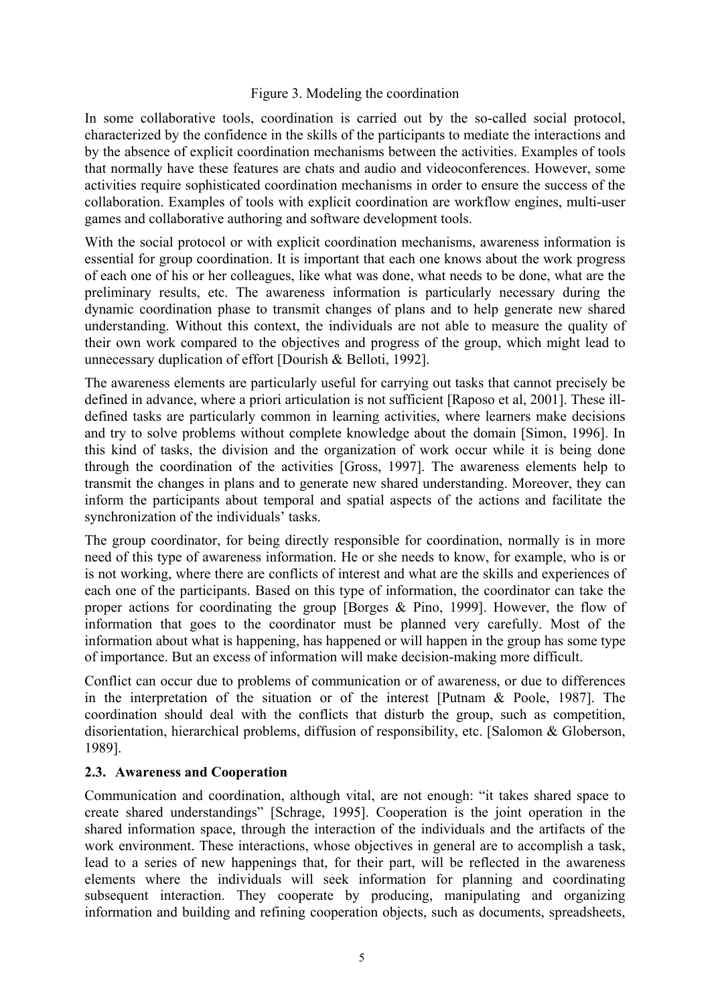#### Figure 3. Modeling the coordination

In some collaborative tools, coordination is carried out by the so-called social protocol, characterized by the confidence in the skills of the participants to mediate the interactions and by the absence of explicit coordination mechanisms between the activities. Examples of tools that normally have these features are chats and audio and videoconferences. However, some activities require sophisticated coordination mechanisms in order to ensure the success of the collaboration. Examples of tools with explicit coordination are workflow engines, multi-user games and collaborative authoring and software development tools.

With the social protocol or with explicit coordination mechanisms, awareness information is essential for group coordination. It is important that each one knows about the work progress of each one of his or her colleagues, like what was done, what needs to be done, what are the preliminary results, etc. The awareness information is particularly necessary during the dynamic coordination phase to transmit changes of plans and to help generate new shared understanding. Without this context, the individuals are not able to measure the quality of their own work compared to the objectives and progress of the group, which might lead to unnecessary duplication of effort [Dourish & Belloti, 1992].

The awareness elements are particularly useful for carrying out tasks that cannot precisely be defined in advance, where a priori articulation is not sufficient [Raposo et al, 2001]. These illdefined tasks are particularly common in learning activities, where learners make decisions and try to solve problems without complete knowledge about the domain [Simon, 1996]. In this kind of tasks, the division and the organization of work occur while it is being done through the coordination of the activities [Gross, 1997]. The awareness elements help to transmit the changes in plans and to generate new shared understanding. Moreover, they can inform the participants about temporal and spatial aspects of the actions and facilitate the synchronization of the individuals' tasks.

The group coordinator, for being directly responsible for coordination, normally is in more need of this type of awareness information. He or she needs to know, for example, who is or is not working, where there are conflicts of interest and what are the skills and experiences of each one of the participants. Based on this type of information, the coordinator can take the proper actions for coordinating the group [Borges & Pino, 1999]. However, the flow of information that goes to the coordinator must be planned very carefully. Most of the information about what is happening, has happened or will happen in the group has some type of importance. But an excess of information will make decision-making more difficult.

Conflict can occur due to problems of communication or of awareness, or due to differences in the interpretation of the situation or of the interest [Putnam & Poole, 1987]. The coordination should deal with the conflicts that disturb the group, such as competition, disorientation, hierarchical problems, diffusion of responsibility, etc. [Salomon & Globerson, 1989].

### **2.3. Awareness and Cooperation**

Communication and coordination, although vital, are not enough: "it takes shared space to create shared understandings" [Schrage, 1995]. Cooperation is the joint operation in the shared information space, through the interaction of the individuals and the artifacts of the work environment. These interactions, whose objectives in general are to accomplish a task, lead to a series of new happenings that, for their part, will be reflected in the awareness elements where the individuals will seek information for planning and coordinating subsequent interaction. They cooperate by producing, manipulating and organizing information and building and refining cooperation objects, such as documents, spreadsheets,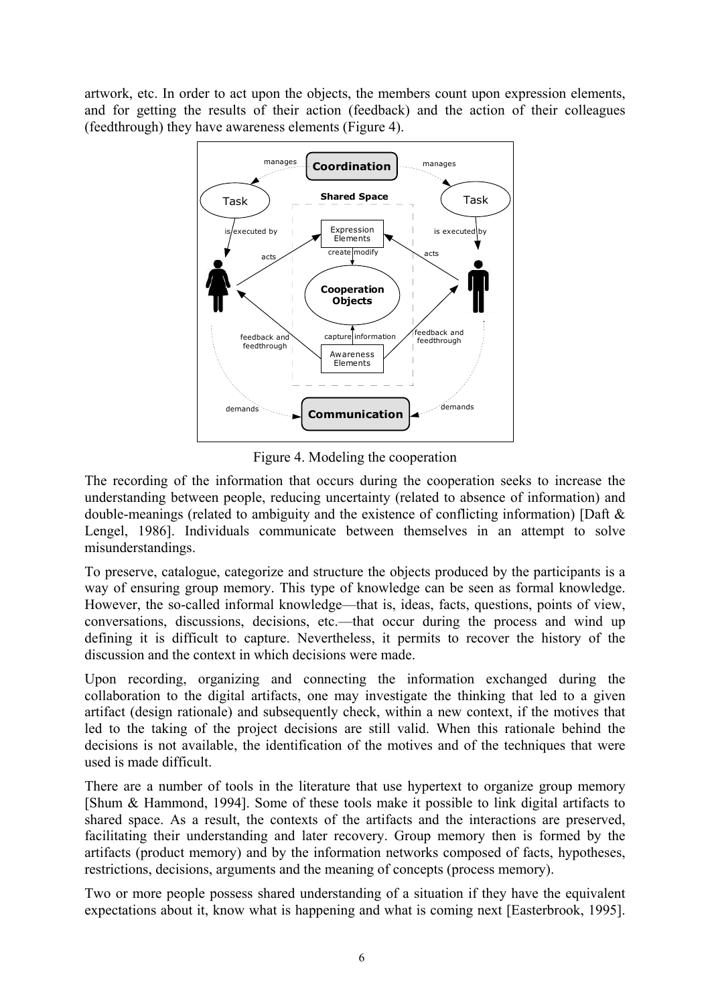artwork, etc. In order to act upon the objects, the members count upon expression elements, and for getting the results of their action (feedback) and the action of their colleagues (feedthrough) they have awareness elements (Figure 4).



Figure 4. Modeling the cooperation

The recording of the information that occurs during the cooperation seeks to increase the understanding between people, reducing uncertainty (related to absence of information) and double-meanings (related to ambiguity and the existence of conflicting information) [Daft & Lengel, 1986]. Individuals communicate between themselves in an attempt to solve misunderstandings.

To preserve, catalogue, categorize and structure the objects produced by the participants is a way of ensuring group memory. This type of knowledge can be seen as formal knowledge. However, the so-called informal knowledge—that is, ideas, facts, questions, points of view, conversations, discussions, decisions, etc.—that occur during the process and wind up defining it is difficult to capture. Nevertheless, it permits to recover the history of the discussion and the context in which decisions were made.

Upon recording, organizing and connecting the information exchanged during the collaboration to the digital artifacts, one may investigate the thinking that led to a given artifact (design rationale) and subsequently check, within a new context, if the motives that led to the taking of the project decisions are still valid. When this rationale behind the decisions is not available, the identification of the motives and of the techniques that were used is made difficult.

There are a number of tools in the literature that use hypertext to organize group memory [Shum & Hammond, 1994]. Some of these tools make it possible to link digital artifacts to shared space. As a result, the contexts of the artifacts and the interactions are preserved, facilitating their understanding and later recovery. Group memory then is formed by the artifacts (product memory) and by the information networks composed of facts, hypotheses, restrictions, decisions, arguments and the meaning of concepts (process memory).

Two or more people possess shared understanding of a situation if they have the equivalent expectations about it, know what is happening and what is coming next [Easterbrook, 1995].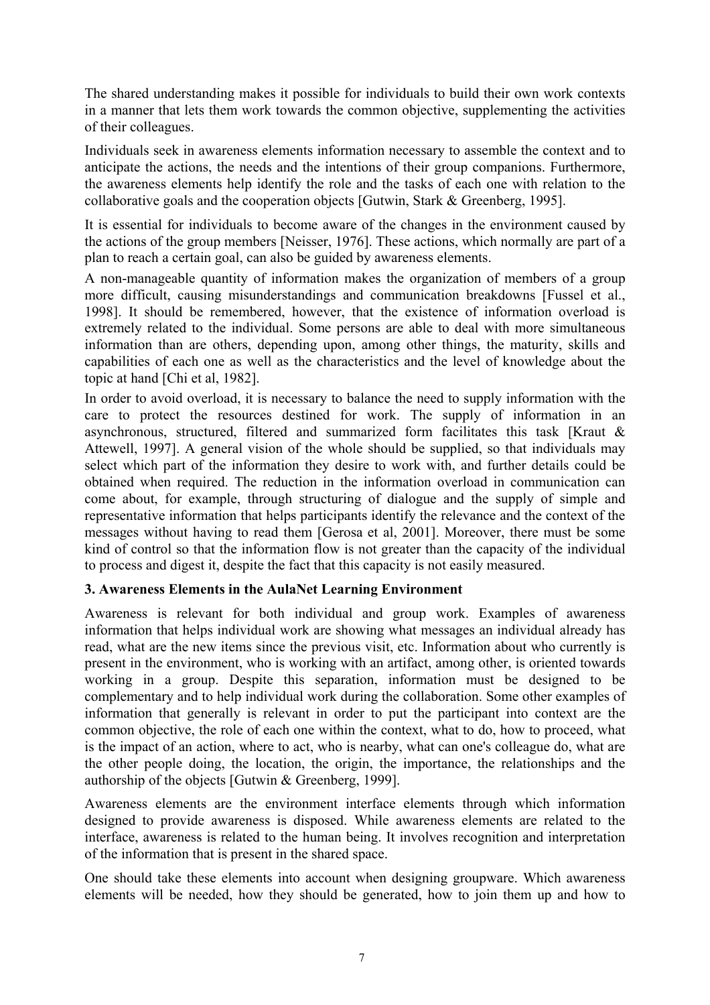The shared understanding makes it possible for individuals to build their own work contexts in a manner that lets them work towards the common objective, supplementing the activities of their colleagues.

Individuals seek in awareness elements information necessary to assemble the context and to anticipate the actions, the needs and the intentions of their group companions. Furthermore, the awareness elements help identify the role and the tasks of each one with relation to the collaborative goals and the cooperation objects [Gutwin, Stark & Greenberg, 1995].

It is essential for individuals to become aware of the changes in the environment caused by the actions of the group members [Neisser, 1976]. These actions, which normally are part of a plan to reach a certain goal, can also be guided by awareness elements.

A non-manageable quantity of information makes the organization of members of a group more difficult, causing misunderstandings and communication breakdowns [Fussel et al., 1998]. It should be remembered, however, that the existence of information overload is extremely related to the individual. Some persons are able to deal with more simultaneous information than are others, depending upon, among other things, the maturity, skills and capabilities of each one as well as the characteristics and the level of knowledge about the topic at hand [Chi et al, 1982].

In order to avoid overload, it is necessary to balance the need to supply information with the care to protect the resources destined for work. The supply of information in an asynchronous, structured, filtered and summarized form facilitates this task [Kraut & Attewell, 1997]. A general vision of the whole should be supplied, so that individuals may select which part of the information they desire to work with, and further details could be obtained when required. The reduction in the information overload in communication can come about, for example, through structuring of dialogue and the supply of simple and representative information that helps participants identify the relevance and the context of the messages without having to read them [Gerosa et al, 2001]. Moreover, there must be some kind of control so that the information flow is not greater than the capacity of the individual to process and digest it, despite the fact that this capacity is not easily measured.

### **3. Awareness Elements in the AulaNet Learning Environment**

Awareness is relevant for both individual and group work. Examples of awareness information that helps individual work are showing what messages an individual already has read, what are the new items since the previous visit, etc. Information about who currently is present in the environment, who is working with an artifact, among other, is oriented towards working in a group. Despite this separation, information must be designed to be complementary and to help individual work during the collaboration. Some other examples of information that generally is relevant in order to put the participant into context are the common objective, the role of each one within the context, what to do, how to proceed, what is the impact of an action, where to act, who is nearby, what can one's colleague do, what are the other people doing, the location, the origin, the importance, the relationships and the authorship of the objects [Gutwin & Greenberg, 1999].

Awareness elements are the environment interface elements through which information designed to provide awareness is disposed. While awareness elements are related to the interface, awareness is related to the human being. It involves recognition and interpretation of the information that is present in the shared space.

One should take these elements into account when designing groupware. Which awareness elements will be needed, how they should be generated, how to join them up and how to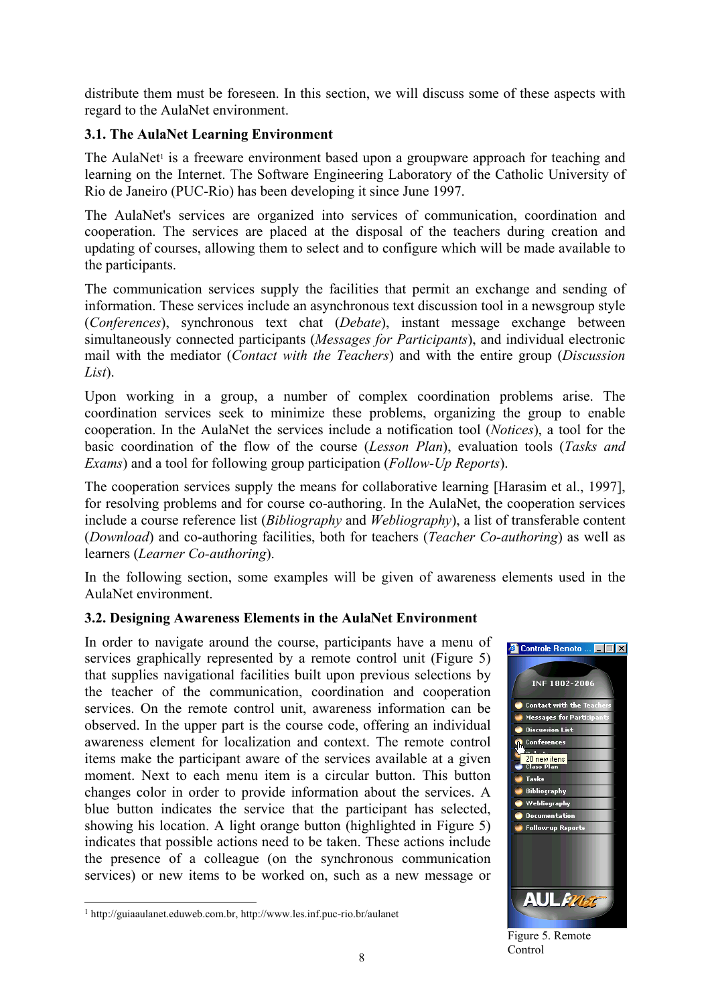distribute them must be foreseen. In this section, we will discuss some of these aspects with regard to the AulaNet environment.

## **3.1. The AulaNet Learning Environment**

The AulaNet<sup>1</sup> is a freeware environment based upon a groupware approach for teaching and learning on the Internet. The Software Engineering Laboratory of the Catholic University of Rio de Janeiro (PUC-Rio) has been developing it since June 1997.

The AulaNet's services are organized into services of communication, coordination and cooperation. The services are placed at the disposal of the teachers during creation and updating of courses, allowing them to select and to configure which will be made available to the participants.

The communication services supply the facilities that permit an exchange and sending of information. These services include an asynchronous text discussion tool in a newsgroup style (*Conferences*), synchronous text chat (*Debate*), instant message exchange between simultaneously connected participants (*Messages for Participants*), and individual electronic mail with the mediator (*Contact with the Teachers*) and with the entire group (*Discussion List*).

Upon working in a group, a number of complex coordination problems arise. The coordination services seek to minimize these problems, organizing the group to enable cooperation. In the AulaNet the services include a notification tool (*Notices*), a tool for the basic coordination of the flow of the course (*Lesson Plan*), evaluation tools (*Tasks and Exams*) and a tool for following group participation (*Follow-Up Reports*).

The cooperation services supply the means for collaborative learning [Harasim et al., 1997], for resolving problems and for course co-authoring. In the AulaNet, the cooperation services include a course reference list (*Bibliography* and *Webliography*), a list of transferable content (*Download*) and co-authoring facilities, both for teachers (*Teacher Co-authoring*) as well as learners (*Learner Co-authoring*).

In the following section, some examples will be given of awareness elements used in the AulaNet environment.

### **3.2. Designing Awareness Elements in the AulaNet Environment**

In order to navigate around the course, participants have a menu of services graphically represented by a remote control unit (Figure 5) that supplies navigational facilities built upon previous selections by the teacher of the communication, coordination and cooperation services. On the remote control unit, awareness information can be observed. In the upper part is the course code, offering an individual awareness element for localization and context. The remote control items make the participant aware of the services available at a given moment. Next to each menu item is a circular button. This button changes color in order to provide information about the services. A blue button indicates the service that the participant has selected, showing his location. A light orange button (highlighted in Figure 5) indicates that possible actions need to be taken. These actions include the presence of a colleague (on the synchronous communication services) or new items to be worked on, such as a new message or

 $\overline{a}$ 



Figure 5. Remote Control

<sup>1</sup> http://guiaaulanet.eduweb.com.br, http://www.les.inf.puc-rio.br/aulanet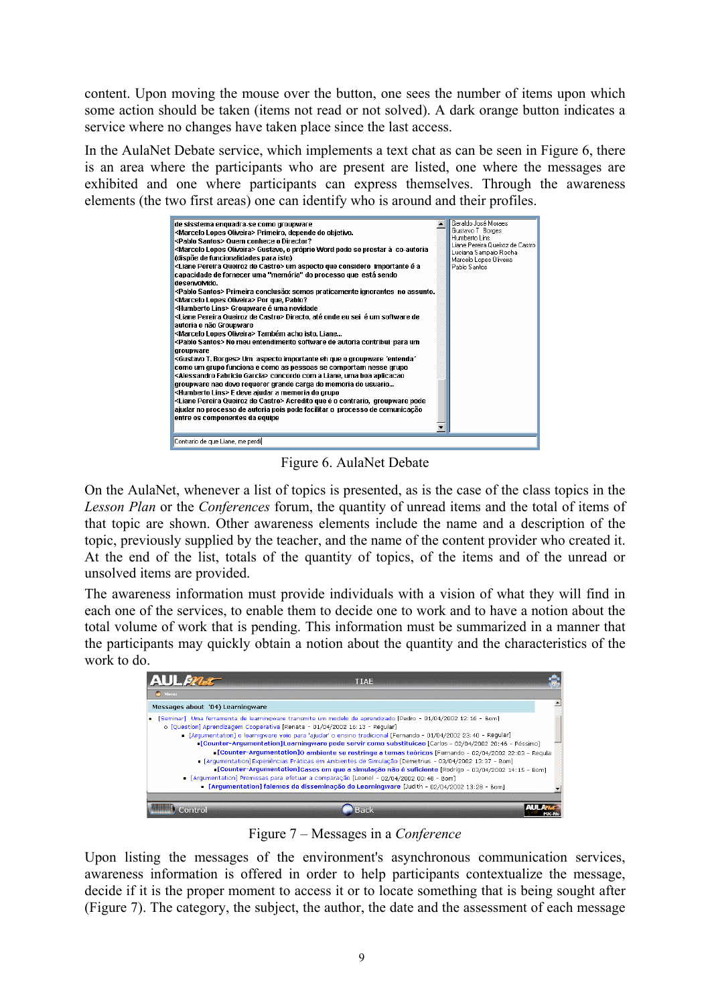content. Upon moving the mouse over the button, one sees the number of items upon which some action should be taken (items not read or not solved). A dark orange button indicates a service where no changes have taken place since the last access.

In the AulaNet Debate service, which implements a text chat as can be seen in Figure 6, there is an area where the participants who are present are listed, one where the messages are exhibited and one where participants can express themselves. Through the awareness elements (the two first areas) one can identify who is around and their profiles.



Figure 6. AulaNet Debate

On the AulaNet, whenever a list of topics is presented, as is the case of the class topics in the *Lesson Plan* or the *Conferences* forum, the quantity of unread items and the total of items of that topic are shown. Other awareness elements include the name and a description of the topic, previously supplied by the teacher, and the name of the content provider who created it. At the end of the list, totals of the quantity of topics, of the items and of the unread or unsolved items are provided.

The awareness information must provide individuals with a vision of what they will find in each one of the services, to enable them to decide one to work and to have a notion about the total volume of work that is pending. This information must be summarized in a manner that the participants may quickly obtain a notion about the quantity and the characteristics of the work to do.

| <b>AUL<i>mat</i></b><br>Menu                                                |                                                                                                                                                                                                                                                                                                                                                                                                                                                                                                                                                            |
|-----------------------------------------------------------------------------|------------------------------------------------------------------------------------------------------------------------------------------------------------------------------------------------------------------------------------------------------------------------------------------------------------------------------------------------------------------------------------------------------------------------------------------------------------------------------------------------------------------------------------------------------------|
|                                                                             |                                                                                                                                                                                                                                                                                                                                                                                                                                                                                                                                                            |
| Messages about '04) Learningware                                            |                                                                                                                                                                                                                                                                                                                                                                                                                                                                                                                                                            |
| o [Question] Aprendizagem Cooperativa [Renata - 01/04/2002 16:13 - Regular] | . [Seminar] Uma ferramenta de learningware transmite um modelo de aprendizado [Pedro - 01/04/2002 12:16 - Bom]<br>[Arqumentation] o learniqware veio para 'ajudar' o ensino tradicional [Fernando - 01/04/2002 23:40 - Regular]<br>Counter-Argumentation]Learningware pode servir como substituicao [Carlos - 02/04/2002 20:46 - Péssimo]<br>Counter-Argumentation]O ambiente se restringe a temas teóricos (Fernando - 02/04/2002 22:03 - Regular<br>[Arqumentation] Experiências Práticas em Ambientes de Simulação [Demetrius - 03/04/2002 13:37 - Bom] |

Figure 7 – Messages in a *Conference*

Upon listing the messages of the environment's asynchronous communication services, awareness information is offered in order to help participants contextualize the message, decide if it is the proper moment to access it or to locate something that is being sought after (Figure 7). The category, the subject, the author, the date and the assessment of each message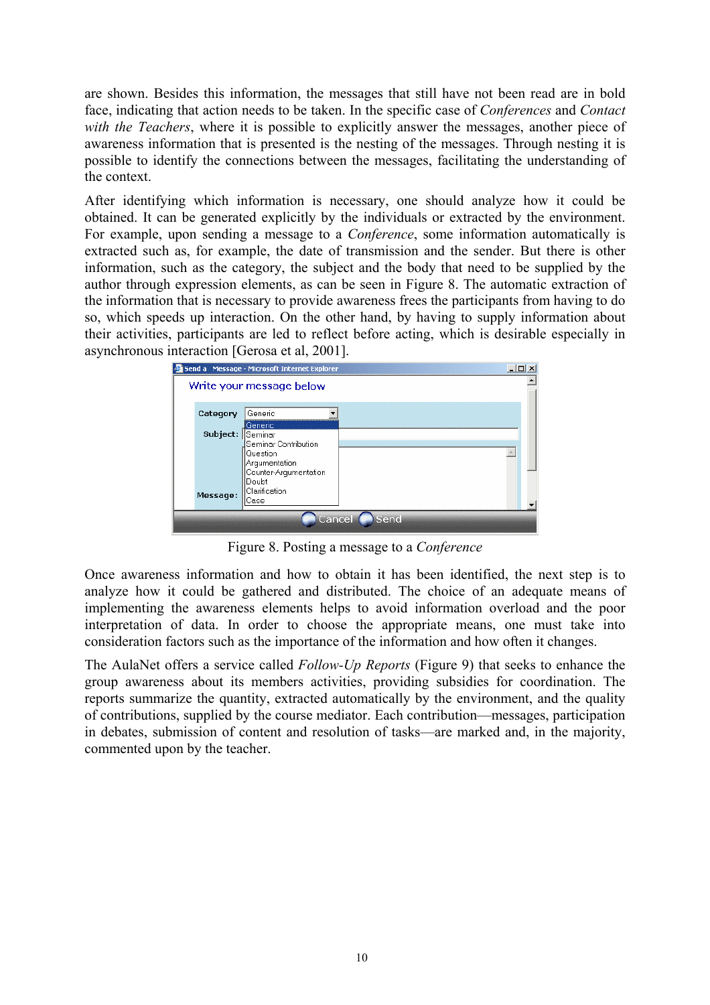are shown. Besides this information, the messages that still have not been read are in bold face, indicating that action needs to be taken. In the specific case of *Conferences* and *Contact with the Teachers*, where it is possible to explicitly answer the messages, another piece of awareness information that is presented is the nesting of the messages. Through nesting it is possible to identify the connections between the messages, facilitating the understanding of the context.

After identifying which information is necessary, one should analyze how it could be obtained. It can be generated explicitly by the individuals or extracted by the environment. For example, upon sending a message to a *Conference*, some information automatically is extracted such as, for example, the date of transmission and the sender. But there is other information, such as the category, the subject and the body that need to be supplied by the author through expression elements, as can be seen in Figure 8. The automatic extraction of the information that is necessary to provide awareness frees the participants from having to do so, which speeds up interaction. On the other hand, by having to supply information about their activities, participants are led to reflect before acting, which is desirable especially in asynchronous interaction [Gerosa et al, 2001].



Figure 8. Posting a message to a *Conference*

Once awareness information and how to obtain it has been identified, the next step is to analyze how it could be gathered and distributed. The choice of an adequate means of implementing the awareness elements helps to avoid information overload and the poor interpretation of data. In order to choose the appropriate means, one must take into consideration factors such as the importance of the information and how often it changes.

The AulaNet offers a service called *Follow-Up Reports* (Figure 9) that seeks to enhance the group awareness about its members activities, providing subsidies for coordination. The reports summarize the quantity, extracted automatically by the environment, and the quality of contributions, supplied by the course mediator. Each contribution—messages, participation in debates, submission of content and resolution of tasks—are marked and, in the majority, commented upon by the teacher.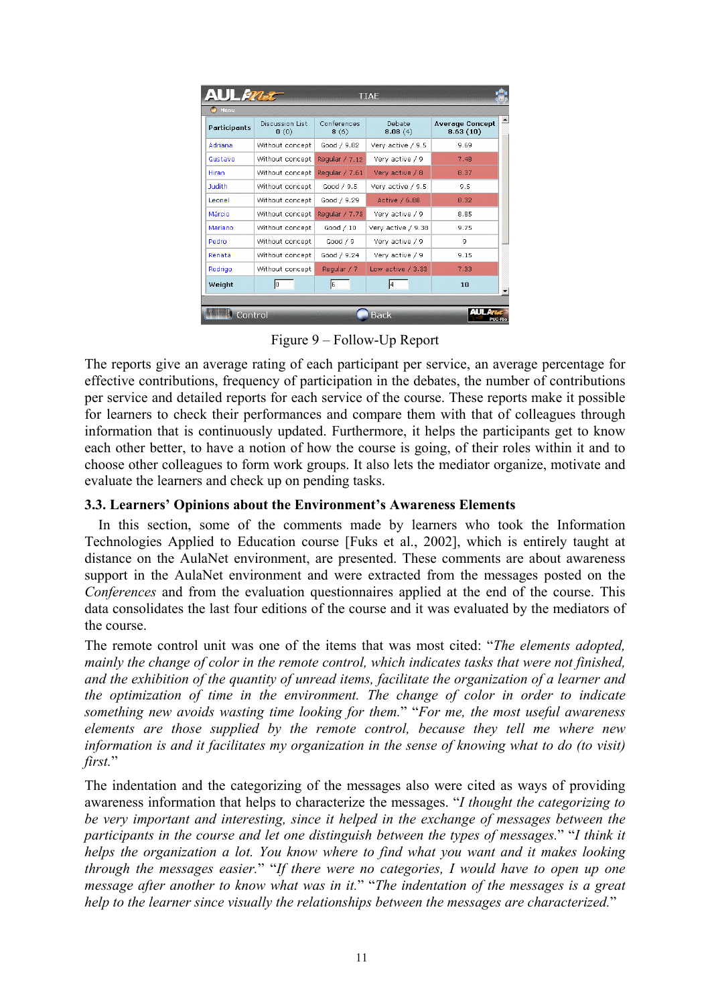| Participants  | Discussion List<br>$\mathbf{0}$ (0) | Conferences<br>8(6) | Debate<br>8.08(4)   | <b>Average Concept</b><br>8.63(10) |
|---------------|-------------------------------------|---------------------|---------------------|------------------------------------|
| Adriana       | Without concept                     | Good / 9.82         | Very active / 9.5   | 9.69                               |
| Gustavo       | Without concept                     | Reqular / 7.12      | Very active / 9     | 7.48                               |
| Hiran         | Without concept                     | Regular / 7.61      | Very active / 8     | 8.37                               |
| <b>Tudith</b> | Without concept                     | Good / 9.5          | Very active / 9.5   | 9.5                                |
| Leonel        | Without concept                     | Good / 9.29         | Active / 6.88       | 8.32                               |
| Márcio        | Without concept                     | Regular / 7.75      | Very active / 9     | 8.85                               |
| Mariano       | Without concept                     | Good $/10$          | Very active / 9.38  | 9.75                               |
| Pedro         | Without concept                     | Good $/9$           | Very active / 9     | 9                                  |
| Renata        | Without concept                     | Good / 9.24         | Very active / 9     | 9.15                               |
| Rodrigo       | Without concept                     | Regular / 7         | Low active $/$ 3.33 | 7.33                               |
| Weight        | Iо                                  | l6                  | l4                  | 10                                 |

Figure 9 – Follow-Up Report

The reports give an average rating of each participant per service, an average percentage for effective contributions, frequency of participation in the debates, the number of contributions per service and detailed reports for each service of the course. These reports make it possible for learners to check their performances and compare them with that of colleagues through information that is continuously updated. Furthermore, it helps the participants get to know each other better, to have a notion of how the course is going, of their roles within it and to choose other colleagues to form work groups. It also lets the mediator organize, motivate and evaluate the learners and check up on pending tasks.

### **3.3. Learners' Opinions about the Environment's Awareness Elements**

In this section, some of the comments made by learners who took the Information Technologies Applied to Education course [Fuks et al., 2002], which is entirely taught at distance on the AulaNet environment, are presented. These comments are about awareness support in the AulaNet environment and were extracted from the messages posted on the *Conferences* and from the evaluation questionnaires applied at the end of the course. This data consolidates the last four editions of the course and it was evaluated by the mediators of the course.

The remote control unit was one of the items that was most cited: "*The elements adopted, mainly the change of color in the remote control, which indicates tasks that were not finished, and the exhibition of the quantity of unread items, facilitate the organization of a learner and the optimization of time in the environment. The change of color in order to indicate something new avoids wasting time looking for them.*" "*For me, the most useful awareness elements are those supplied by the remote control, because they tell me where new information is and it facilitates my organization in the sense of knowing what to do (to visit) first.*"

The indentation and the categorizing of the messages also were cited as ways of providing awareness information that helps to characterize the messages. "*I thought the categorizing to be very important and interesting, since it helped in the exchange of messages between the participants in the course and let one distinguish between the types of messages.*" "*I think it helps the organization a lot. You know where to find what you want and it makes looking through the messages easier.*" "*If there were no categories, I would have to open up one message after another to know what was in it.*" "*The indentation of the messages is a great help to the learner since visually the relationships between the messages are characterized.*"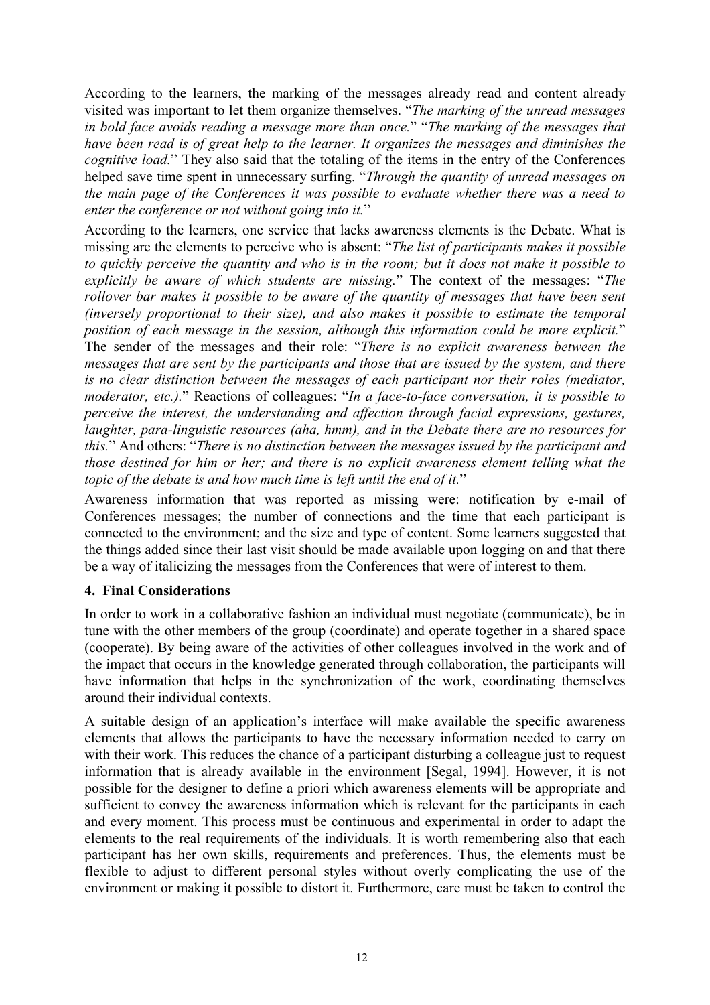According to the learners, the marking of the messages already read and content already visited was important to let them organize themselves. "*The marking of the unread messages in bold face avoids reading a message more than once.*" "*The marking of the messages that have been read is of great help to the learner. It organizes the messages and diminishes the cognitive load.*" They also said that the totaling of the items in the entry of the Conferences helped save time spent in unnecessary surfing. "*Through the quantity of unread messages on the main page of the Conferences it was possible to evaluate whether there was a need to enter the conference or not without going into it.*"

According to the learners, one service that lacks awareness elements is the Debate. What is missing are the elements to perceive who is absent: "*The list of participants makes it possible to quickly perceive the quantity and who is in the room; but it does not make it possible to explicitly be aware of which students are missing.*" The context of the messages: "*The rollover bar makes it possible to be aware of the quantity of messages that have been sent (inversely proportional to their size), and also makes it possible to estimate the temporal position of each message in the session, although this information could be more explicit.*" The sender of the messages and their role: "*There is no explicit awareness between the messages that are sent by the participants and those that are issued by the system, and there is no clear distinction between the messages of each participant nor their roles (mediator, moderator, etc.).*" Reactions of colleagues: "*In a face-to-face conversation, it is possible to perceive the interest, the understanding and affection through facial expressions, gestures, laughter, para-linguistic resources (aha, hmm), and in the Debate there are no resources for this.*" And others: "*There is no distinction between the messages issued by the participant and those destined for him or her; and there is no explicit awareness element telling what the topic of the debate is and how much time is left until the end of it.*"

Awareness information that was reported as missing were: notification by e-mail of Conferences messages; the number of connections and the time that each participant is connected to the environment; and the size and type of content. Some learners suggested that the things added since their last visit should be made available upon logging on and that there be a way of italicizing the messages from the Conferences that were of interest to them.

### **4. Final Considerations**

In order to work in a collaborative fashion an individual must negotiate (communicate), be in tune with the other members of the group (coordinate) and operate together in a shared space (cooperate). By being aware of the activities of other colleagues involved in the work and of the impact that occurs in the knowledge generated through collaboration, the participants will have information that helps in the synchronization of the work, coordinating themselves around their individual contexts.

A suitable design of an application's interface will make available the specific awareness elements that allows the participants to have the necessary information needed to carry on with their work. This reduces the chance of a participant disturbing a colleague just to request information that is already available in the environment [Segal, 1994]. However, it is not possible for the designer to define a priori which awareness elements will be appropriate and sufficient to convey the awareness information which is relevant for the participants in each and every moment. This process must be continuous and experimental in order to adapt the elements to the real requirements of the individuals. It is worth remembering also that each participant has her own skills, requirements and preferences. Thus, the elements must be flexible to adjust to different personal styles without overly complicating the use of the environment or making it possible to distort it. Furthermore, care must be taken to control the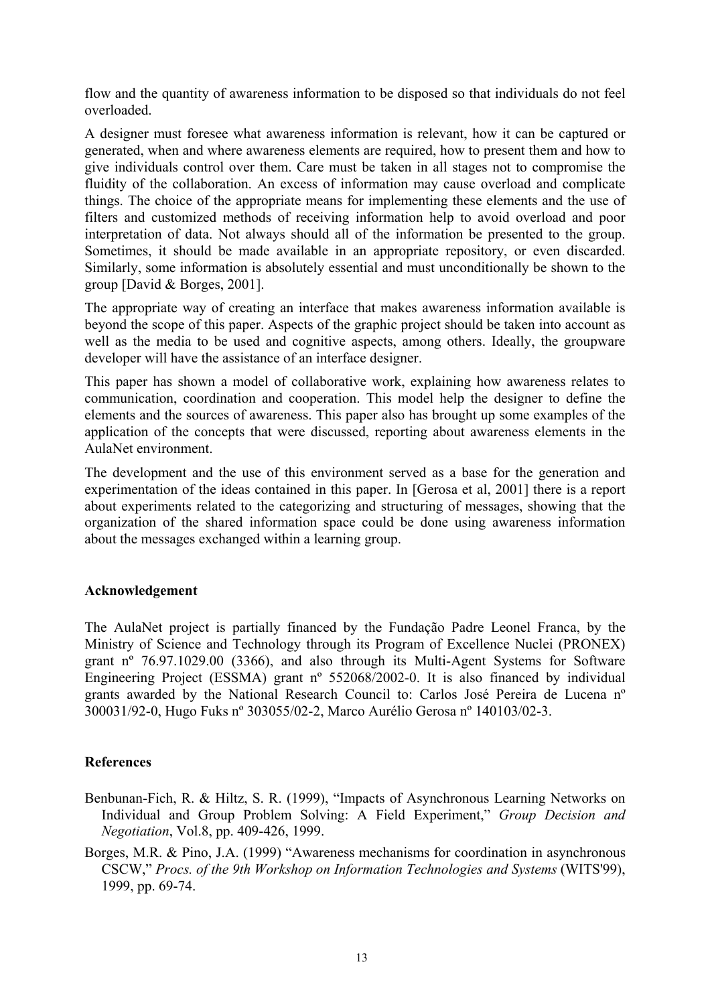flow and the quantity of awareness information to be disposed so that individuals do not feel overloaded.

A designer must foresee what awareness information is relevant, how it can be captured or generated, when and where awareness elements are required, how to present them and how to give individuals control over them. Care must be taken in all stages not to compromise the fluidity of the collaboration. An excess of information may cause overload and complicate things. The choice of the appropriate means for implementing these elements and the use of filters and customized methods of receiving information help to avoid overload and poor interpretation of data. Not always should all of the information be presented to the group. Sometimes, it should be made available in an appropriate repository, or even discarded. Similarly, some information is absolutely essential and must unconditionally be shown to the group [David & Borges, 2001].

The appropriate way of creating an interface that makes awareness information available is beyond the scope of this paper. Aspects of the graphic project should be taken into account as well as the media to be used and cognitive aspects, among others. Ideally, the groupware developer will have the assistance of an interface designer.

This paper has shown a model of collaborative work, explaining how awareness relates to communication, coordination and cooperation. This model help the designer to define the elements and the sources of awareness. This paper also has brought up some examples of the application of the concepts that were discussed, reporting about awareness elements in the AulaNet environment.

The development and the use of this environment served as a base for the generation and experimentation of the ideas contained in this paper. In [Gerosa et al, 2001] there is a report about experiments related to the categorizing and structuring of messages, showing that the organization of the shared information space could be done using awareness information about the messages exchanged within a learning group.

### **Acknowledgement**

The AulaNet project is partially financed by the Fundação Padre Leonel Franca, by the Ministry of Science and Technology through its Program of Excellence Nuclei (PRONEX) grant nº 76.97.1029.00 (3366), and also through its Multi-Agent Systems for Software Engineering Project (ESSMA) grant nº 552068/2002-0. It is also financed by individual grants awarded by the National Research Council to: Carlos José Pereira de Lucena nº 300031/92-0, Hugo Fuks nº 303055/02-2, Marco Aurélio Gerosa nº 140103/02-3.

### **References**

- Benbunan-Fich, R. & Hiltz, S. R. (1999), "Impacts of Asynchronous Learning Networks on Individual and Group Problem Solving: A Field Experiment," *Group Decision and Negotiation*, Vol.8, pp. 409-426, 1999.
- Borges, M.R. & Pino, J.A. (1999) "Awareness mechanisms for coordination in asynchronous CSCW," *Procs. of the 9th Workshop on Information Technologies and Systems* (WITS'99), 1999, pp. 69-74.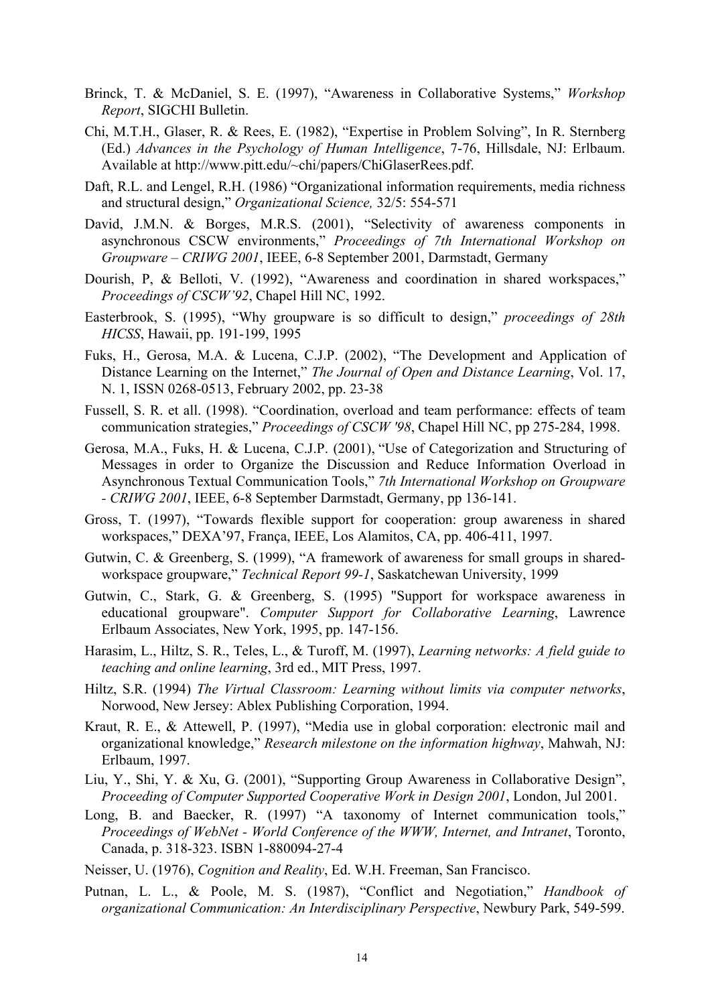- Brinck, T. & McDaniel, S. E. (1997), "Awareness in Collaborative Systems," *Workshop Report*, SIGCHI Bulletin.
- Chi, M.T.H., Glaser, R. & Rees, E. (1982), "Expertise in Problem Solving", In R. Sternberg (Ed.) *Advances in the Psychology of Human Intelligence*, 7-76, Hillsdale, NJ: Erlbaum. Available at http://www.pitt.edu/~chi/papers/ChiGlaserRees.pdf.
- Daft, R.L. and Lengel, R.H. (1986) "Organizational information requirements, media richness and structural design," *Organizational Science,* 32/5: 554-571
- David, J.M.N. & Borges, M.R.S. (2001), "Selectivity of awareness components in asynchronous CSCW environments," *Proceedings of 7th International Workshop on Groupware – CRIWG 2001*, IEEE, 6-8 September 2001, Darmstadt, Germany
- Dourish, P, & Belloti, V. (1992), "Awareness and coordination in shared workspaces," *Proceedings of CSCW'92*, Chapel Hill NC, 1992.
- Easterbrook, S. (1995), "Why groupware is so difficult to design," *proceedings of 28th HICSS*, Hawaii, pp. 191-199, 1995
- Fuks, H., Gerosa, M.A. & Lucena, C.J.P. (2002), "The Development and Application of Distance Learning on the Internet," *The Journal of Open and Distance Learning*, Vol. 17, N. 1, ISSN 0268-0513, February 2002, pp. 23-38
- Fussell, S. R. et all. (1998). "Coordination, overload and team performance: effects of team communication strategies," *Proceedings of CSCW '98*, Chapel Hill NC, pp 275-284, 1998.
- Gerosa, M.A., Fuks, H. & Lucena, C.J.P. (2001), "Use of Categorization and Structuring of Messages in order to Organize the Discussion and Reduce Information Overload in Asynchronous Textual Communication Tools," *7th International Workshop on Groupware - CRIWG 2001*, IEEE, 6-8 September Darmstadt, Germany, pp 136-141.
- Gross, T. (1997), "Towards flexible support for cooperation: group awareness in shared workspaces," DEXA'97, França, IEEE, Los Alamitos, CA, pp. 406-411, 1997.
- Gutwin, C. & Greenberg, S. (1999), "A framework of awareness for small groups in sharedworkspace groupware," *Technical Report 99-1*, Saskatchewan University, 1999
- Gutwin, C., Stark, G. & Greenberg, S. (1995) "Support for workspace awareness in educational groupware". *Computer Support for Collaborative Learning*, Lawrence Erlbaum Associates, New York, 1995, pp. 147-156.
- Harasim, L., Hiltz, S. R., Teles, L., & Turoff, M. (1997), *Learning networks: A field guide to teaching and online learning*, 3rd ed., MIT Press, 1997.
- Hiltz, S.R. (1994) *The Virtual Classroom: Learning without limits via computer networks*, Norwood, New Jersey: Ablex Publishing Corporation, 1994.
- Kraut, R. E., & Attewell, P. (1997), "Media use in global corporation: electronic mail and organizational knowledge," *Research milestone on the information highway*, Mahwah, NJ: Erlbaum, 1997.
- Liu, Y., Shi, Y. & Xu, G. (2001), "Supporting Group Awareness in Collaborative Design", *Proceeding of Computer Supported Cooperative Work in Design 2001*, London, Jul 2001.
- Long, B. and Baecker, R. (1997) "A taxonomy of Internet communication tools," *Proceedings of WebNet - World Conference of the WWW, Internet, and Intranet*, Toronto, Canada, p. 318-323. ISBN 1-880094-27-4
- Neisser, U. (1976), *Cognition and Reality*, Ed. W.H. Freeman, San Francisco.
- Putnan, L. L., & Poole, M. S. (1987), "Conflict and Negotiation," *Handbook of organizational Communication: An Interdisciplinary Perspective*, Newbury Park, 549-599.